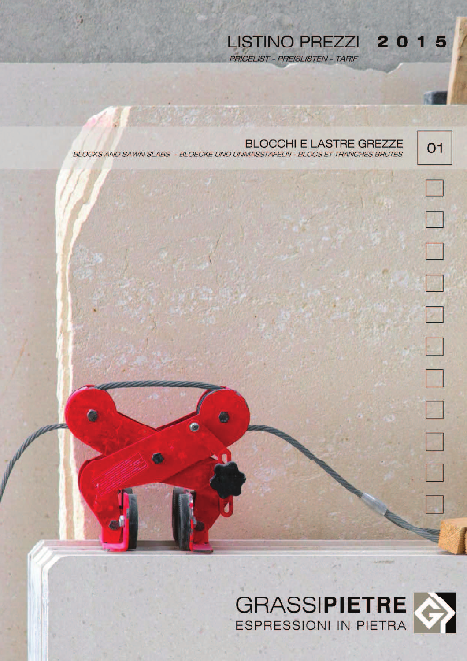LISTINO PREZZI 2015 PRICELIST - PREISLISTEN - TARIF

| <b>BLOCCHI E LASTRE GREZZE</b><br>BLOCKS AND SAWN SLABS - BLOECKE UND UNMASSTAFELN - BLOCS ET TRANCHES BRUTES | 01 |
|---------------------------------------------------------------------------------------------------------------|----|
|                                                                                                               |    |
|                                                                                                               | I. |
|                                                                                                               |    |
|                                                                                                               |    |
|                                                                                                               |    |
|                                                                                                               |    |
|                                                                                                               |    |
| Q<br>LC.                                                                                                      |    |
|                                                                                                               |    |
|                                                                                                               |    |
|                                                                                                               |    |
|                                                                                                               |    |

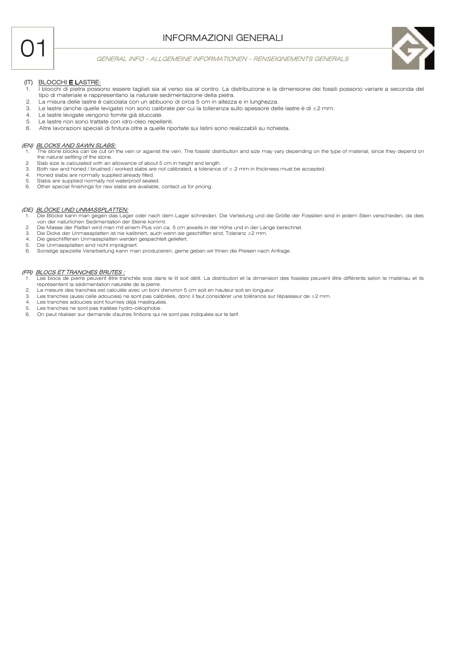# **INFORMAZIONI GENERALI**



#### GENERAL INFO - ALLGEMEINE INFORMATIONEN - RENSEIGNEMENTS GENERALS



## (IT) BLOCCHI E LASTRE:

- Diocchi di pietra possono essere tagliati sia al verso sia al contro. La distribuzione e la dimensione dei fossili possono variare a seconda del tipo di materiale e rappresentano la naturale sedimentazione della pietra
- La misura delle lastre è calcolata con un abbuono di circa 5 cm in altezza e in lunghezza.  $\mathcal{P}$
- $\overline{3}$ Le lastre (anche quelle levigate) non sono calibrate per cui la tolleranza sullo spessore delle lastre è di ±2 mm.
- Le lastre levigate vengono fornite già stuccate.  $4.$
- Le lastre non sono trattate con idro-oleo repellenti. 5.  $6\overline{6}$
- Altre lavorazioni speciali di finitura oltre a quelle riportate sui listini sono realizzabili su richiesta.

#### (EN) BLOCKS AND SAWN SLABS:

- ut on the vein or against the vein. The fossils' distribution and size may vary depending on the type of material, since they depend on the natural settling of the stone.
- $\overline{a}$ Slab size is calculated with an allowance of about 5 cm in height and length.
- $\mathcal{R}$ Both raw and honed / brushed / worked slabs are not calibrated, a tolerance of ± 2 mm in thickness must be accepted.
- Honed slabs are normally supplied already filled.  $\overline{4}$ Slabs are supplied normally not waterproof sealed.
- $\epsilon$ Other special finishings for raw slabs are available, contact us for pricing.

### (DE) BLÖCKE UND UNMASSPLATTEN:

- Die Blöcke kann man gegen das Lager oder nach dem Lager schneiden. Die Verteilung und die Größe der Fossilien sind in jedem Stein verschieden, da dies 1. von der natürlichen Sedimentation der Steine kommt.<br>Die Masse der Platten wird man mit einem Plus von ca. 5 cm jeweils in der Höhe und in der Länge berechnet.
- $\overline{2}$
- Die Dicke der Unmassplatten ist nie kalibriert, auch wenn sie geschliffen sind; Toleranz ±2 mm. 3.
- $\Lambda$ Die geschliffenen Unmassplatten werden gespachtelt geliefert.
- $\overline{5}$ Die Unmassplatten sind nicht imprägniert.
- $\epsilon$ Sonstige spezielle Verarbeitung kann man produzieren, gerne geben wir Ihnen die Preisen nach Anfrage.

## (FR) BLOCS ET TRANCHES BRUTES :

- Les blocs de pierre peuvent être tranchés sois dans le lit soit délit. La distribution et la dimension des fossiles peuvent être différents selon le matériau et ils représentent la sédimentation naturelle de la pierre
- $\circ$ La mesure des tranches est calculée avec un boni d'environ 5 cm soit en hauteur soit en longueur.
- $\mathcal{S}$ Les tranches (aussi celle adoucies) ne sont pas calibrées, donc il faut considérer une tolérance sur l'épaisseur de ±2 mm.
- $\overline{4}$ Les tranches adoucies sont fournies déjà mastiquées. 5 Les tranches ne sont pas traitées hydro-oléophobe.
- On peut réaliser sur demande d'autres finitions qui ne sont pas indiquées sur le tarif.  $\epsilon$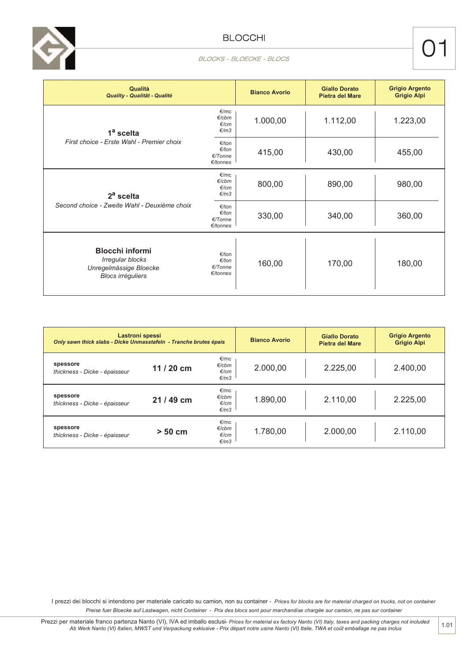

| BLOCKS - BLOECKE - BLOCS |  |
|--------------------------|--|
|                          |  |

| <b>Qualità</b><br>Quality - Qualität - Qualité                                                   |                                                    | <b>Bianco Avorio</b> | <b>Giallo Dorato</b><br><b>Pietra del Mare</b> | <b>Grigio Argento</b><br><b>Grigio Alpi</b> |
|--------------------------------------------------------------------------------------------------|----------------------------------------------------|----------------------|------------------------------------------------|---------------------------------------------|
| 1 <sup>a</sup> scelta                                                                            | €/mc<br>$E$ /cbm<br>E/cm<br>€/m3                   | 1.000,00             | 1.112,00                                       | 1.223,00                                    |
| First choice - Erste Wahl - Premier choix                                                        | €/ton<br>$E/t$ on<br>E/Tonne<br>$\epsilon$ /tonnes | 415,00               | 430,00                                         | 455,00                                      |
| $2a$ scelta<br>Second choice - Zweite Wahl - Deuxième choix                                      | €/mc<br>$E$ /cbm<br>E/cm<br>€/m3                   | 800,00               | 890,00                                         | 980,00                                      |
|                                                                                                  | €/ton<br>$E/t$ on<br>$E/T$ onne<br>E/tonnes        | 330,00               | 340,00                                         | 360,00                                      |
| <b>Blocchi informi</b><br>Irregular blocks<br>Unregelmässige Bloecke<br><b>Blocs irréguliers</b> | €/ton<br>$E/t$ on<br>€/Tonne<br>E/tonnes           | 160,00               | 170,00                                         | 180,00                                      |

| Lastroni spessi<br>Only sawn thick slabs - Dicke Unmasstafeln - Tranche brutes épais |            | <b>Bianco Avorio</b>                      | Giallo Dorato<br>Pietra del Mare | <b>Grigio Argento</b><br><b>Grigio Alpi</b> |          |
|--------------------------------------------------------------------------------------|------------|-------------------------------------------|----------------------------------|---------------------------------------------|----------|
| spessore<br>thickness - Dicke - épaisseur                                            | $11/20$ cm | €/mc<br>$E$ /cbm<br>E/cm<br>$\epsilon/m3$ | 2.000,00                         | 2.225,00                                    | 2.400,00 |
| spessore<br>thickness - Dicke - épaisseur                                            | 21 / 49 cm | €/mc<br>$E$ /cbm<br>E/cm<br>$\epsilon/m3$ | 1.890,00                         | 2.110,00                                    | 2.225,00 |
| spessore<br>thickness - Dicke - épaisseur                                            | $> 50$ cm  | €/mc<br>$E$ /cbm<br>E/cm<br>$\epsilon/m3$ | 1.780,00                         | 2.000,00                                    | 2.110,00 |

I prezzi dei blocchi si intendono per materiale caricato su camion, non su container - Prices for blocks are for material charged on trucks, not on container Preise fuer Bloecke auf Lastwagen, nicht Container - Prix des blocs sont pour marchandise chargée sur camion, ne pas sur container